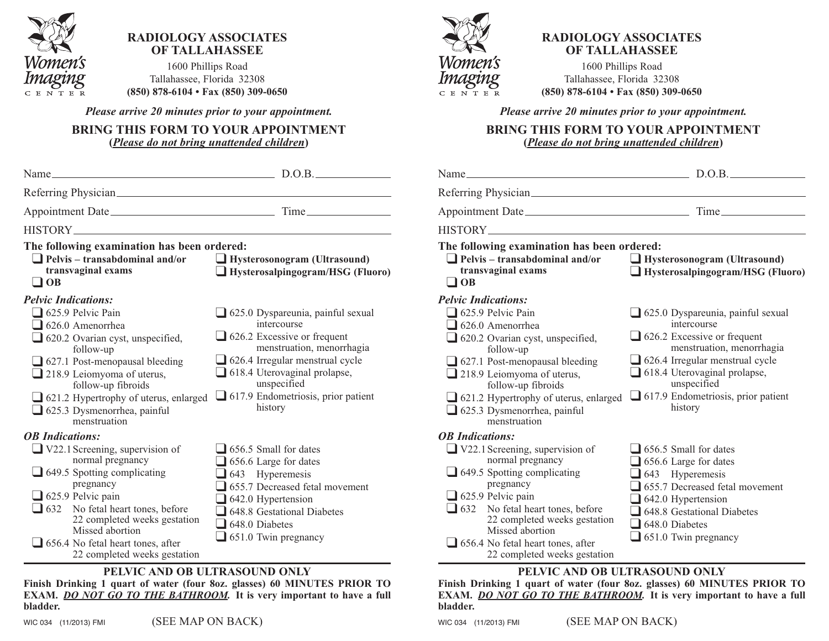

## **radiology associates of tallahassee**

1600 phillips Road Tallahassee, Florida 32308 **(850) 878-6104 • fax (850) 309-0650**

*Please arrive 20 minutes prior to your appointment.*

**bring this form to your appointment (***Please do not bring unattended children***)**

| $Name_\_$                                                                                                                                                                                                                                                                                                                                     | D.O.B.                                                                                                                                                                                                                                                               |
|-----------------------------------------------------------------------------------------------------------------------------------------------------------------------------------------------------------------------------------------------------------------------------------------------------------------------------------------------|----------------------------------------------------------------------------------------------------------------------------------------------------------------------------------------------------------------------------------------------------------------------|
|                                                                                                                                                                                                                                                                                                                                               |                                                                                                                                                                                                                                                                      |
| Appointment Date                                                                                                                                                                                                                                                                                                                              |                                                                                                                                                                                                                                                                      |
|                                                                                                                                                                                                                                                                                                                                               |                                                                                                                                                                                                                                                                      |
| The following examination has been ordered:<br>$\Box$ Pelvis – transabdominal and/or<br>transvaginal exams<br>$\Box$ OB                                                                                                                                                                                                                       | Hysterosonogram (Ultrasound)<br>Hysterosalpingogram/HSG (Fluoro)                                                                                                                                                                                                     |
| <b>Pelvic Indications:</b><br>$\Box$ 625.9 Pelvic Pain<br>$\Box$ 626.0 Amenorrhea<br>$\Box$ 620.2 Ovarian cyst, unspecified,<br>follow-up<br>$\Box$ 627.1 Post-menopausal bleeding<br>$\Box$ 218.9 Leiomyoma of uterus,<br>follow-up fibroids<br>621.2 Hypertrophy of uterus, enlarged<br>$\Box$ 625.3 Dysmenorrhea, painful<br>menstruation  | 625.0 Dyspareunia, painful sexual<br>intercourse<br>$\Box$ 626.2 Excessive or frequent<br>menstruation, menorrhagia<br>$\Box$ 626.4 Irregular menstrual cycle<br>618.4 Uterovaginal prolapse,<br>unspecified<br>$\Box$ 617.9 Endometriosis, prior patient<br>history |
| <b>OB</b> Indications:<br>$\Box$ V22.1 Screening, supervision of<br>normal pregnancy<br>$\Box$ 649.5 Spotting complicating<br>pregnancy<br>$\Box$ 625.9 Pelvic pain<br>$\Box$ 632 No fetal heart tones, before<br>22 completed weeks gestation<br>Missed abortion<br>$\Box$ 656.4 No fetal heart tones, after<br>22 completed weeks gestation | $\Box$ 656.5 Small for dates<br>$\Box$ 656.6 Large for dates<br>$\blacksquare$ 643 Hyperemesis<br>655.7 Decreased fetal movement<br>$\Box$ 642.0 Hypertension<br>$\Box$ 648.8 Gestational Diabetes<br>$\Box$ 648.0 Diabetes<br>$\Box$ 651.0 Twin pregnancy           |
| PELVIC AND OB ULTRASOUND ONLY                                                                                                                                                                                                                                                                                                                 |                                                                                                                                                                                                                                                                      |

**finish drinking 1 quart of water (four 8oz. glasses) 60 minutes prior to exam.** *DO NOT GO TO THE BATHROOM.* **it is very important to have a full bladder.**

WIC 034 (11/2013) FMI (SEE MAP ON BACK)